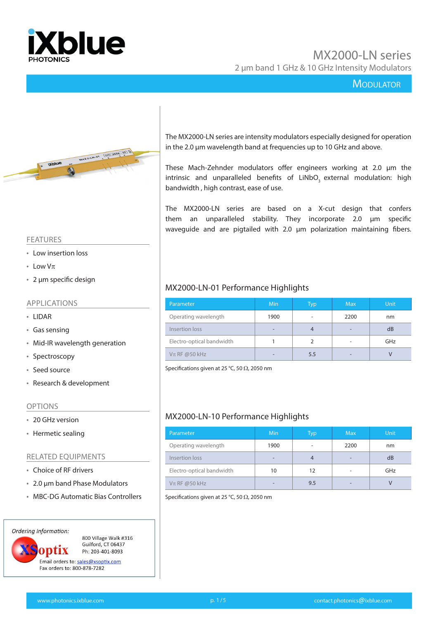

#### **MODULATOR**



#### FEATURES

- Low insertion loss
- Low  $V\pi$
- 2 µm specific design

#### APPLICATIONS

- LIDAR
- Gas sensing
- Mid-IR wavelength generation
- Spectroscopy
- Seed source
- Research & development

#### OPTIONS

- 20 GHz version
- Hermetic sealing

#### RELATED EQUIPMENTS

- Choice of RF drivers
- 2.0 µm band Phase Modulators
- MBC-DG Automatic Bias Controllers



The MX2000-LN series are intensity modulators especially designed for operation in the 2.0 μm wavelength band at frequencies up to 10 GHz and above.

These Mach-Zehnder modulators offer engineers working at 2.0 μm the intrinsic and unparalleled benefits of LiNbO<sub>3</sub> external modulation: high bandwidth , high contrast, ease of use.

The MX2000-LN series are based on a X-cut design that confers them an unparalleled stability. They incorporate 2.0 μm specific waveguide and are pigtailed with 2.0 μm polarization maintaining fibers.

#### MX2000-LN-01 Performance Highlights

| Parameter                    | Min                      | Typ  | <b>Max</b> | <b>Unit</b> |
|------------------------------|--------------------------|------|------------|-------------|
| Operating wavelength<br>1900 |                          | 2200 | nm         |             |
| Insertion loss               | $\overline{\phantom{0}}$ | 4    |            | dB          |
| Electro-optical bandwidth    |                          | 2    |            | GHz         |
| $V\pi$ RF @50 kHz            | -                        | 5.5  |            |             |

Specifications given at 25 °C, 50  $\Omega$ , 2050 nm

### MX2000-LN-10 Performance Highlights

| Parameter                 | Min                      | <b>Typ</b> | <b>Max</b> | <b>Unit</b> |
|---------------------------|--------------------------|------------|------------|-------------|
| Operating wavelength      | 1900                     | ٠          | 2200       | nm          |
| Insertion loss            | $\overline{\phantom{a}}$ |            |            | dB          |
| Electro-optical bandwidth | 10                       | 12         |            | GHz         |
| $V\pi$ RF @50 kHz         |                          | 9.5        |            |             |

Specifications given at 25 °C, 50  $\Omega$ , 2050 nm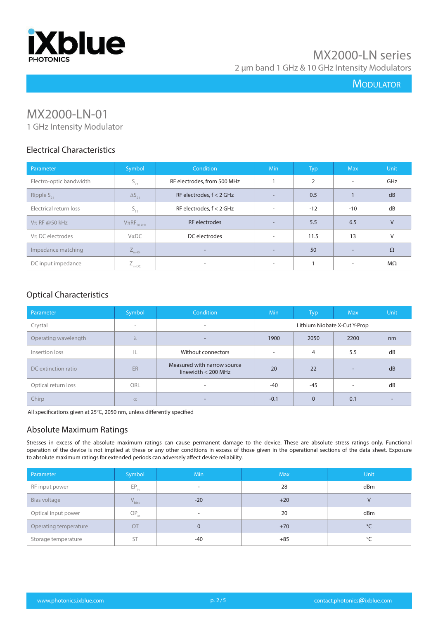

# **MODULATOR**

# MX2000-LN-01

1 GHz Intensity Modulator

#### Electrical Characteristics

| Parameter               | Symbol              | Condition                   | <b>Min</b> | <b>Typ</b>     | <b>Max</b> | Unit      |
|-------------------------|---------------------|-----------------------------|------------|----------------|------------|-----------|
| Electro-optic bandwidth | $S_{21}$            | RF electrodes, from 500 MHz |            | $\overline{2}$ | $\sim$     | GHz       |
| Ripple $S_{21}$         | $\Delta S_{21}$     | RF electrodes, $f < 2$ GHz  |            | 0.5            |            | dB        |
| Electrical return loss  | $S_{11}$            | RF electrodes, $f < 2$ GHz  |            | $-12$          | $-10$      | dB        |
| $V\pi$ RF @50 kHz       | $V\pi RF_{50\,kHz}$ | RF electrodes               |            | 5.5            | 6.5        | $\vee$    |
| $V\pi$ DC electrodes    | $V$ $\pi$ DC        | DC electrodes               | -          | 11.5           | 13         | $\vee$    |
| Impedance matching      | $L_{\text{in-RF}}$  | $\overline{\phantom{0}}$    |            | 50             | -          | $\Omega$  |
| DC input impedance      | $Z_{\text{in-DC}}$  | $\overline{\phantom{a}}$    |            |                | ۰          | $M\Omega$ |

#### Optical Characteristics

| Parameter            | Symbol                   | Condition                                            | Min    | <b>Typ</b> | <b>Max</b>                   | Unit |
|----------------------|--------------------------|------------------------------------------------------|--------|------------|------------------------------|------|
| Crystal              | $\overline{\phantom{a}}$ | $\overline{\phantom{a}}$                             |        |            | Lithium Niobate X-Cut Y-Prop |      |
| Operating wavelength | λ                        | $\overline{\phantom{a}}$                             | 1900   | 2050       | 2200                         | nm   |
| Insertion loss       | IL                       | Without connectors                                   |        | 4          | 5.5                          | dB   |
| DC extinction ratio  | ER                       | Measured with narrow source<br>linewidth $<$ 200 MHz | 20     | 22         | $\overline{\phantom{a}}$     | dB   |
| Optical return loss  | ORL                      | $\overline{\phantom{a}}$                             | -40    | $-45$      | $\overline{\phantom{a}}$     | dB   |
| Chirp                | $\alpha$                 | $\overline{\phantom{a}}$                             | $-0.1$ | $\Omega$   | 0.1                          |      |

All specifications given at 25°C, 2050 nm, unless differently specified

#### Absolute Maximum Ratings

Stresses in excess of the absolute maximum ratings can cause permanent damage to the device. These are absolute stress ratings only. Functional operation of the device is not implied at these or any other conditions in excess of those given in the operational sections of the data sheet. Exposure to absolute maximum ratings for extended periods can adversely affect device reliability.

| Parameter             | Symbol                      | <b>Min</b>               | <b>Max</b> | Unit         |
|-----------------------|-----------------------------|--------------------------|------------|--------------|
| RF input power        | $\mathsf{EP}_{\mathsf{in}}$ | $\overline{\phantom{a}}$ | 28         | dBm          |
| Bias voltage          | $V_{bias}$                  | $-20$                    | $+20$      | $\vee$       |
| Optical input power   | $OP_{in}$                   | $\overline{\phantom{a}}$ | 20         | dBm          |
| Operating temperature | OT                          | $\mathbf{0}$             | $+70$      | $^{\circ}$ C |
| Storage temperature   | <b>ST</b>                   | $-40$                    | $+85$      | °C           |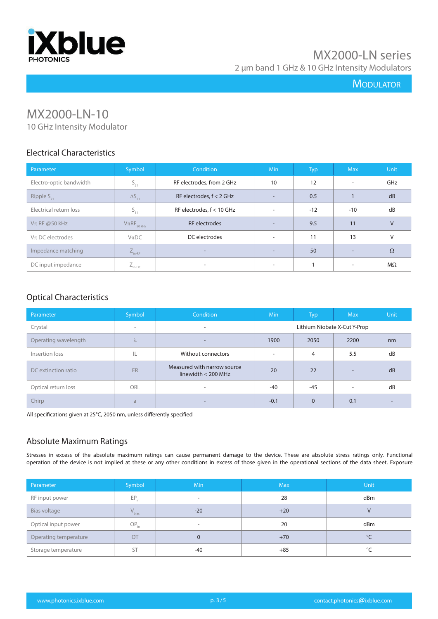

# **MODULATOR**

# MX2000-LN-10

10 GHz Intensity Modulator

# Electrical Characteristics

| Parameter               | Symbol              | Condition                   | <b>Min</b> | Typ   | <b>Max</b>               | Unit      |
|-------------------------|---------------------|-----------------------------|------------|-------|--------------------------|-----------|
| Electro-optic bandwidth | $S_{21}$            | RF electrodes, from 2 GHz   | 10         | 12    | $\overline{\phantom{a}}$ | GHz       |
| Ripple $S_{21}$         | $\Delta S_{21}$     | RF electrodes, $f < 2$ GHz  |            | 0.5   |                          | dB        |
| Electrical return loss  | $S_{11}$            | RF electrodes, $f < 10$ GHz |            | $-12$ | $-10$                    | dB        |
| $V\pi$ RF @50 kHz       | $V\pi RF_{50\;kHz}$ | <b>RF</b> electrodes        |            | 9.5   | 11                       | $\vee$    |
| $V\pi$ DC electrodes    | $V_{\pi}DC$         | DC electrodes               |            | 11    | 13                       | $\vee$    |
| Impedance matching      | $L_{\text{in-RF}}$  | $\overline{\phantom{a}}$    |            | 50    | -                        | $\Omega$  |
| DC input impedance      | $Z_{\text{in-DC}}$  | ٠                           |            |       | ۰.                       | $M\Omega$ |

### Optical Characteristics

| Parameter            | Symbol    | <b>Condition</b>                                     | <b>Min</b>                   | <b>Typ</b> | <b>Max</b> | <b>Unit</b> |
|----------------------|-----------|------------------------------------------------------|------------------------------|------------|------------|-------------|
| Crystal              | $\,$      | $\overline{\phantom{a}}$                             | Lithium Niobate X-Cut Y-Prop |            |            |             |
| Operating wavelength | $\Lambda$ | $\overline{\phantom{a}}$                             | 1900                         | 2050       | 2200       | nm          |
| Insertion loss       | IL        | Without connectors                                   |                              | 4          | 5.5        | dB          |
| DC extinction ratio  | ER        | Measured with narrow source<br>linewidth $<$ 200 MHz | 20                           | 22         | -          | dB          |
| Optical return loss  | ORL       | $\sim$                                               | -40                          | $-45$      | ۰          | dB          |
| Chirp                | a         |                                                      | $-0.1$                       | $\Omega$   | 0.1        |             |

All specifications given at 25°C, 2050 nm, unless differently specified

#### Absolute Maximum Ratings

Stresses in excess of the absolute maximum ratings can cause permanent damage to the device. These are absolute stress ratings only. Functional operation of the device is not implied at these or any other conditions in excess of those given in the operational sections of the data sheet. Exposure

| Parameter             | Symbol                      | <b>Min</b>               | <b>Max</b> | <b>Unit</b>  |
|-----------------------|-----------------------------|--------------------------|------------|--------------|
| RF input power        | $\mathsf{EP}_{\mathsf{in}}$ | $\overline{\phantom{a}}$ | 28         | dBm          |
| Bias voltage          | $V_{bias}$                  | $-20$                    | $+20$      | $\vee$       |
| Optical input power   | $OP_{\text{in}}$            | $\overline{\phantom{a}}$ | 20         | dBm          |
| Operating temperature | OT                          | $\Omega$                 | $+70$      | $^{\circ}$ C |
| Storage temperature   | ST                          | -40                      | $+85$      | °C           |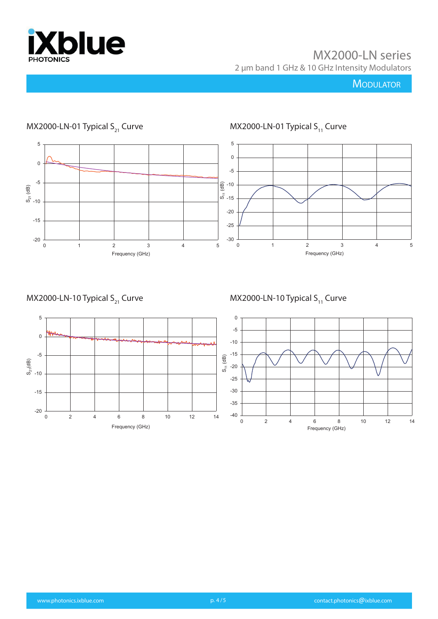

# **MODULATOR**



# MX2000-LN-01 Typical  $S_{21}$  Curve

MX2000-LN-10 Typical  $S_{21}$  Curve

MX2000-LN-10 Typical  $S_{11}$  Curve



-20

-15

-10

 $S_{21}(dB)$ 

-5

0

5